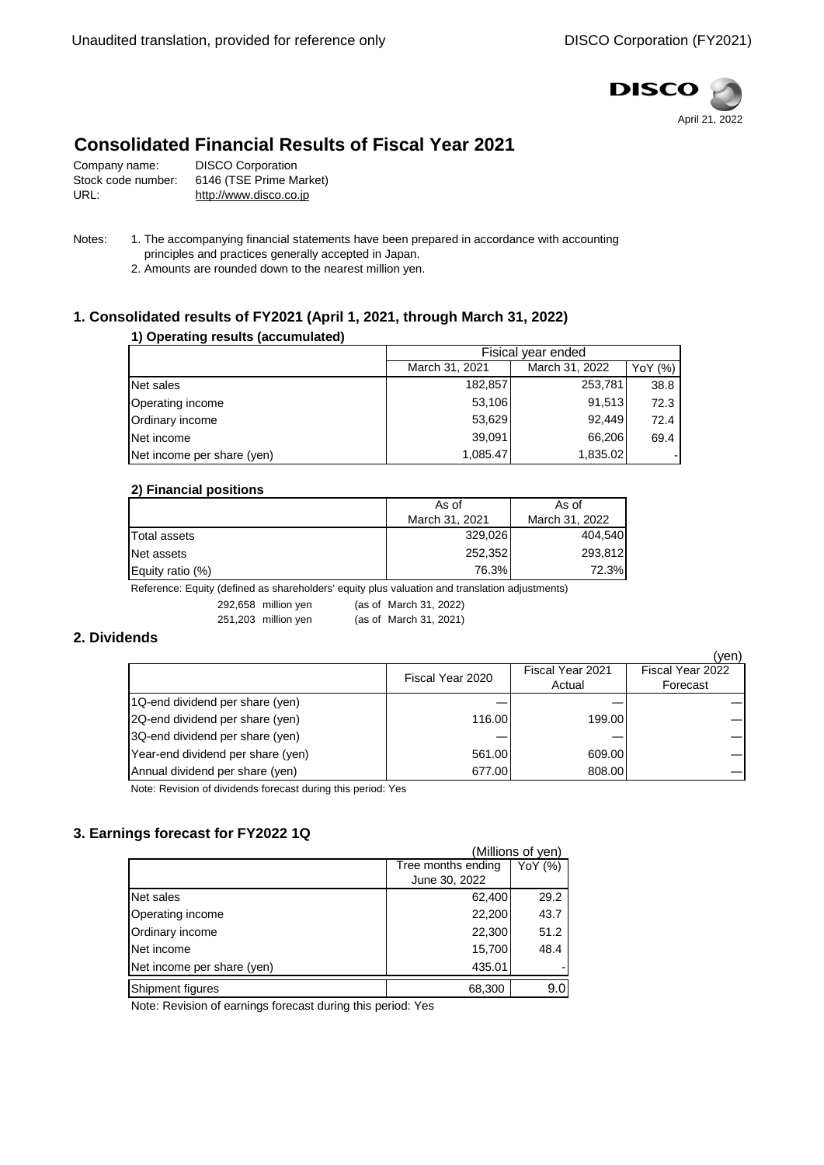

# **Consolidated Financial Results of Fiscal Year 2021**

| Company name:      | <b>DISCO Corporation</b> |
|--------------------|--------------------------|
| Stock code number: | 6146 (TSE Prime Market)  |
| URL:               | http://www.disco.co.jp   |

- Notes: 1. The accompanying financial statements have been prepared in accordance with accounting principles and practices generally accepted in Japan.
	- 2. Amounts are rounded down to the nearest million yen.

## **1. Consolidated results of FY2021 (April 1, 2021, through March 31, 2022)**

### **1) Operating results (accumulated)**

|                            | Fisical vear ended |                |         |
|----------------------------|--------------------|----------------|---------|
|                            | March 31, 2021     | March 31, 2022 | YoY (%) |
| Net sales                  | 182,857            | 253,781        | 38.8    |
| Operating income           | 53,106             | 91,513         | 72.3    |
| Ordinary income            | 53,629             | 92.449         | 72.4    |
| Net income                 | 39,091             | 66,206         | 69.4    |
| Net income per share (yen) | 1,085.47           | 1,835.02       |         |

### **2) Financial positions**

|                     | As of          | As of          |  |
|---------------------|----------------|----------------|--|
|                     | March 31, 2021 | March 31, 2022 |  |
| <b>Total assets</b> | 329,026        | 404.540        |  |
| Net assets          | 252,352        | 293.812        |  |
| Equity ratio (%)    | 76.3%          | <b>72.3%</b>   |  |

Reference: Equity (defined as shareholders' equity plus valuation and translation adjustments)

## **2. Dividends**

|                                   |                  |                  | (yen)            |
|-----------------------------------|------------------|------------------|------------------|
|                                   | Fiscal Year 2020 | Fiscal Year 2021 | Fiscal Year 2022 |
|                                   |                  | Actual           | Forecast         |
| 1Q-end dividend per share (yen)   |                  |                  |                  |
| 2Q-end dividend per share (yen)   | 116.00           | 199.00           |                  |
| 3Q-end dividend per share (yen)   |                  |                  |                  |
| Year-end dividend per share (yen) | 561.00           | 609.00           |                  |
| Annual dividend per share (yen)   | 677.00           | 808.00           |                  |

Note: Revision of dividends forecast during this period: Yes

## **3. Earnings forecast for FY2022 1Q**

| (Millions of yen)          |                               |                  |  |
|----------------------------|-------------------------------|------------------|--|
|                            | Tree months ending<br>YoY (%) |                  |  |
|                            | June 30, 2022                 |                  |  |
| Net sales                  | 62,400                        | 29.2             |  |
| Operating income           | 22,200                        | 43.7             |  |
| Ordinary income            | 22,300                        | 51.2             |  |
| Net income                 | 15,700                        | 48.4             |  |
| Net income per share (yen) | 435.01                        |                  |  |
| Shipment figures           | 68,300                        | 9.0 <sub>l</sub> |  |

Note: Revision of earnings forecast during this period: Yes

<sup>292,658</sup> million yen (as of March 31, 2022)

<sup>251,203</sup> million yen (as of March 31, 2021)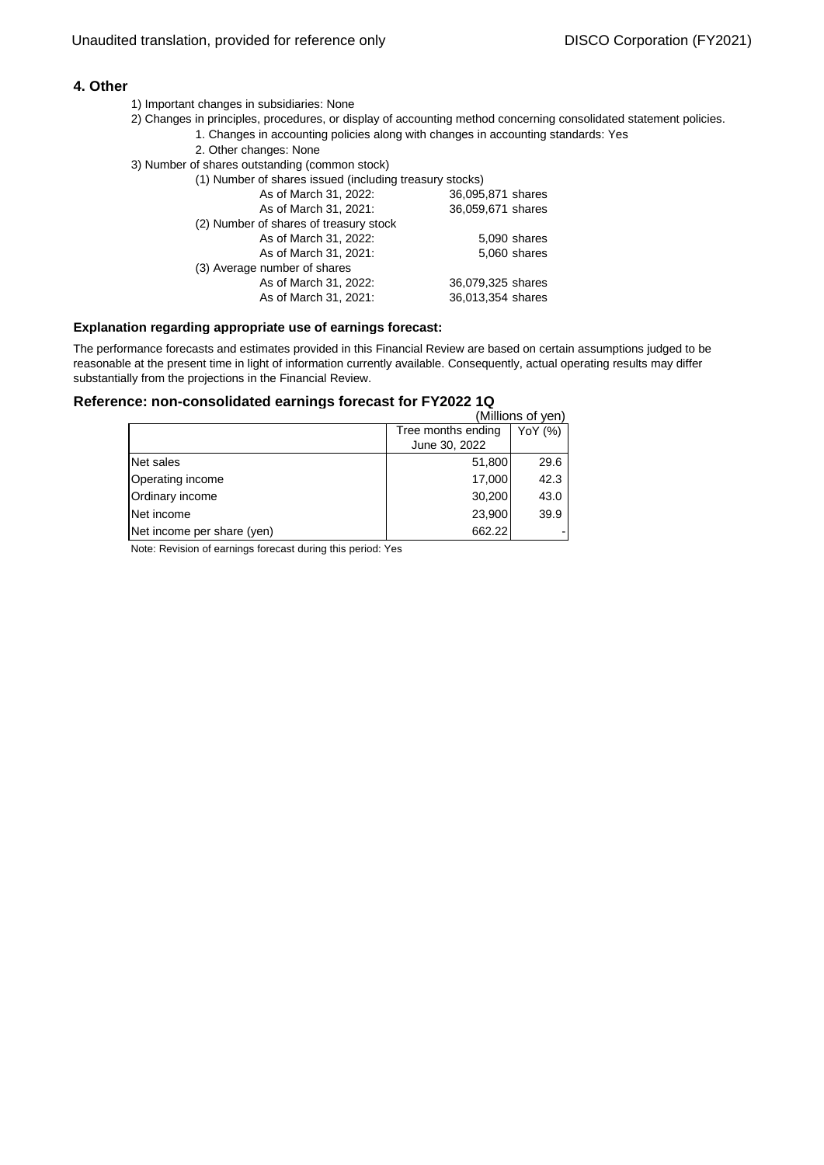### **4. Other**

- 1) Important changes in subsidiaries: None
- 1. Changes in accounting policies along with changes in accounting standards: Yes 2) Changes in principles, procedures, or display of accounting method concerning consolidated statement policies.
	- 2. Other changes: None
- 3) Number of shares outstanding (common stock)
	- (1) Number of shares issued (including treasury stocks) As of March 31, 2022: 36,095,871 shares As of March 31, 2021: 36,059,671 shares (2) Number of shares of treasury stock As of March 31, 2022: 5,090 shares As of March 31, 2021: 5,060 shares (3) Average number of shares As of March 31, 2022: 36,079,325 shares As of March 31, 2021: 36,013,354 shares

#### **Explanation regarding appropriate use of earnings forecast:**

The performance forecasts and estimates provided in this Financial Review are based on certain assumptions judged to be reasonable at the present time in light of information currently available. Consequently, actual operating results may differ substantially from the projections in the Financial Review.

## **Reference: non-consolidated earnings forecast for FY2022 1Q**

|                            |                               | (Millions of yen) |  |
|----------------------------|-------------------------------|-------------------|--|
|                            | Tree months ending<br>YoY (%) |                   |  |
|                            | June 30, 2022                 |                   |  |
| Net sales                  | 51,800                        | 29.6              |  |
| Operating income           | 17,000                        | 42.3              |  |
| Ordinary income            | 30,200                        | 43.0              |  |
| Net income                 | 23,900                        | 39.9              |  |
| Net income per share (yen) | 662.22                        |                   |  |

Note: Revision of earnings forecast during this period: Yes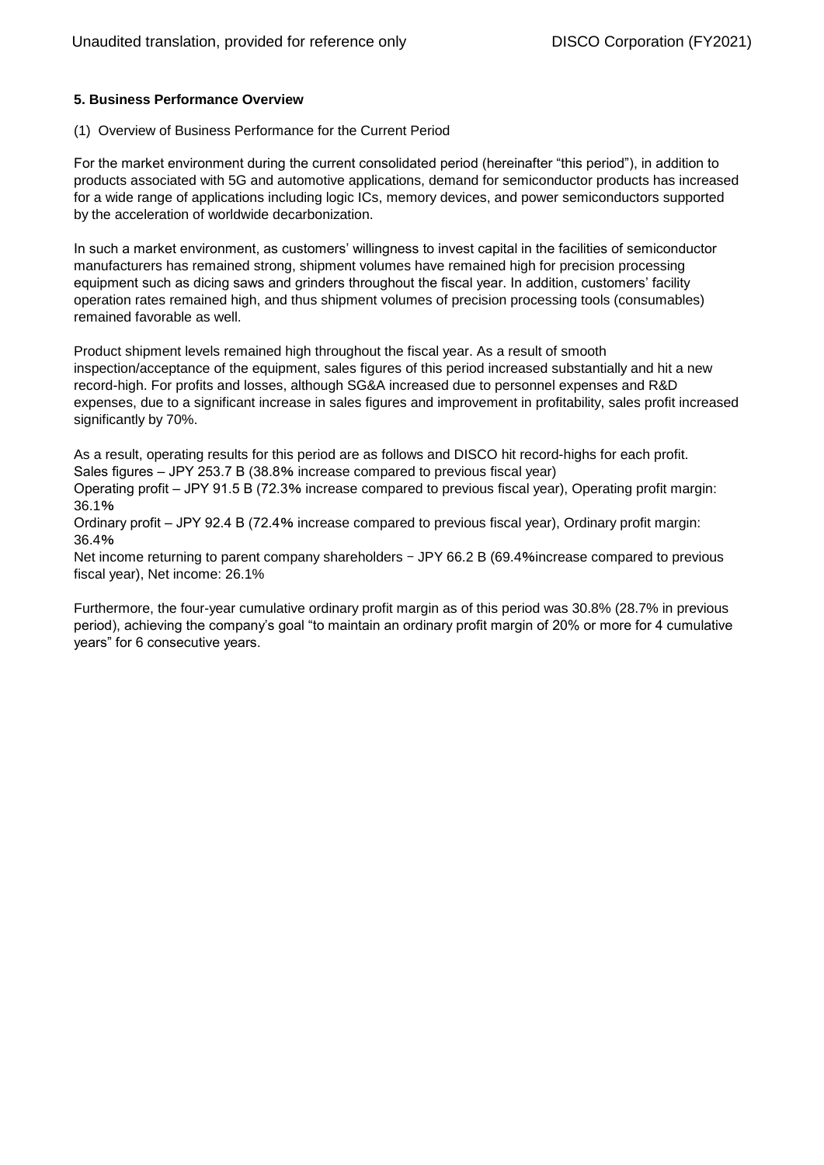### **5. Business Performance Overview**

#### (1) Overview of Business Performance for the Current Period

For the market environment during the current consolidated period (hereinafter "this period"), in addition to products associated with 5G and automotive applications, demand for semiconductor products has increased for a wide range of applications including logic ICs, memory devices, and power semiconductors supported by the acceleration of worldwide decarbonization.

In such a market environment, as customers' willingness to invest capital in the facilities of semiconductor manufacturers has remained strong, shipment volumes have remained high for precision processing equipment such as dicing saws and grinders throughout the fiscal year. In addition, customers' facility operation rates remained high, and thus shipment volumes of precision processing tools (consumables) remained favorable as well.

Product shipment levels remained high throughout the fiscal year. As a result of smooth inspection/acceptance of the equipment, sales figures of this period increased substantially and hit a new record-high. For profits and losses, although SG&A increased due to personnel expenses and R&D expenses, due to a significant increase in sales figures and improvement in profitability, sales profit increased significantly by 70%.

As a result, operating results for this period are as follows and DISCO hit record-highs for each profit. Sales figures – JPY 253.7 B (38.8% increase compared to previous fiscal year)

Operating profit – JPY 91.5 B (72.3% increase compared to previous fiscal year), Operating profit margin: 36.1%

Ordinary profit – JPY 92.4 B (72.4% increase compared to previous fiscal year), Ordinary profit margin: 36.4%

Net income returning to parent company shareholders - JPY 66.2 B (69.4%increase compared to previous fiscal year), Net income: 26.1%

Furthermore, the four-year cumulative ordinary profit margin as of this period was 30.8% (28.7% in previous period), achieving the company's goal "to maintain an ordinary profit margin of 20% or more for 4 cumulative years" for 6 consecutive years.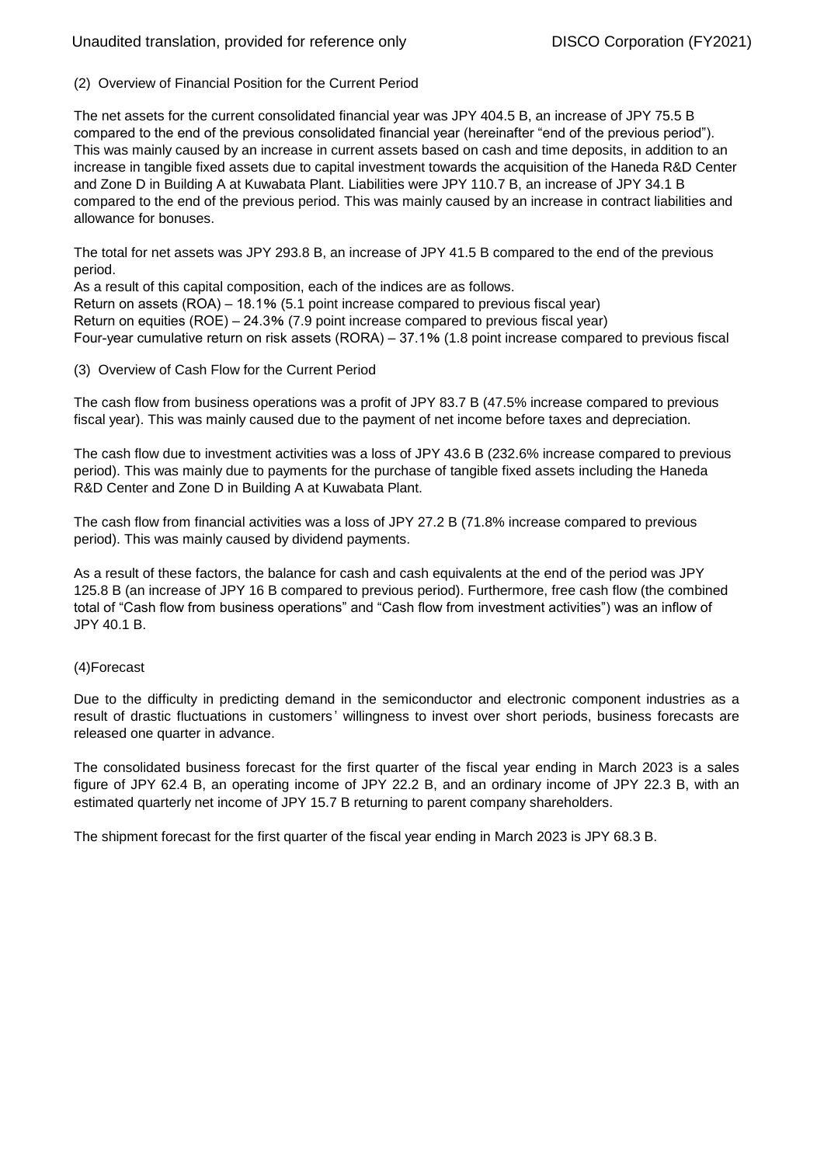## Unaudited translation, provided for reference only **DISCO Corporation (FY2021)**

(2) Overview of Financial Position for the Current Period

The net assets for the current consolidated financial year was JPY 404.5 B, an increase of JPY 75.5 B compared to the end of the previous consolidated financial year (hereinafter "end of the previous period"). This was mainly caused by an increase in current assets based on cash and time deposits, in addition to an increase in tangible fixed assets due to capital investment towards the acquisition of the Haneda R&D Center and Zone D in Building A at Kuwabata Plant. Liabilities were JPY 110.7 B, an increase of JPY 34.1 B compared to the end of the previous period. This was mainly caused by an increase in contract liabilities and allowance for bonuses.

The total for net assets was JPY 293.8 B, an increase of JPY 41.5 B compared to the end of the previous period.

As a result of this capital composition, each of the indices are as follows. Return on assets (ROA) – 18.1% (5.1 point increase compared to previous fiscal year) Return on equities (ROE) – 24.3% (7.9 point increase compared to previous fiscal year) Four-year cumulative return on risk assets (RORA) – 37.1% (1.8 point increase compared to previous fiscal

(3) Overview of Cash Flow for the Current Period

The cash flow from business operations was a profit of JPY 83.7 B (47.5% increase compared to previous fiscal year). This was mainly caused due to the payment of net income before taxes and depreciation.

The cash flow due to investment activities was a loss of JPY 43.6 B (232.6% increase compared to previous period). This was mainly due to payments for the purchase of tangible fixed assets including the Haneda R&D Center and Zone D in Building A at Kuwabata Plant.

The cash flow from financial activities was a loss of JPY 27.2 B (71.8% increase compared to previous period). This was mainly caused by dividend payments.

As a result of these factors, the balance for cash and cash equivalents at the end of the period was JPY 125.8 B (an increase of JPY 16 B compared to previous period). Furthermore, free cash flow (the combined total of "Cash flow from business operations" and "Cash flow from investment activities") was an inflow of JPY 40.1 B.

#### (4)Forecast

Due to the difficulty in predicting demand in the semiconductor and electronic component industries as a result of drastic fluctuations in customers ' willingness to invest over short periods, business forecasts are released one quarter in advance.

The consolidated business forecast for the first quarter of the fiscal year ending in March 2023 is a sales figure of JPY 62.4 B, an operating income of JPY 22.2 B, and an ordinary income of JPY 22.3 B, with an estimated quarterly net income of JPY 15.7 B returning to parent company shareholders.

The shipment forecast for the first quarter of the fiscal year ending in March 2023 is JPY 68.3 B.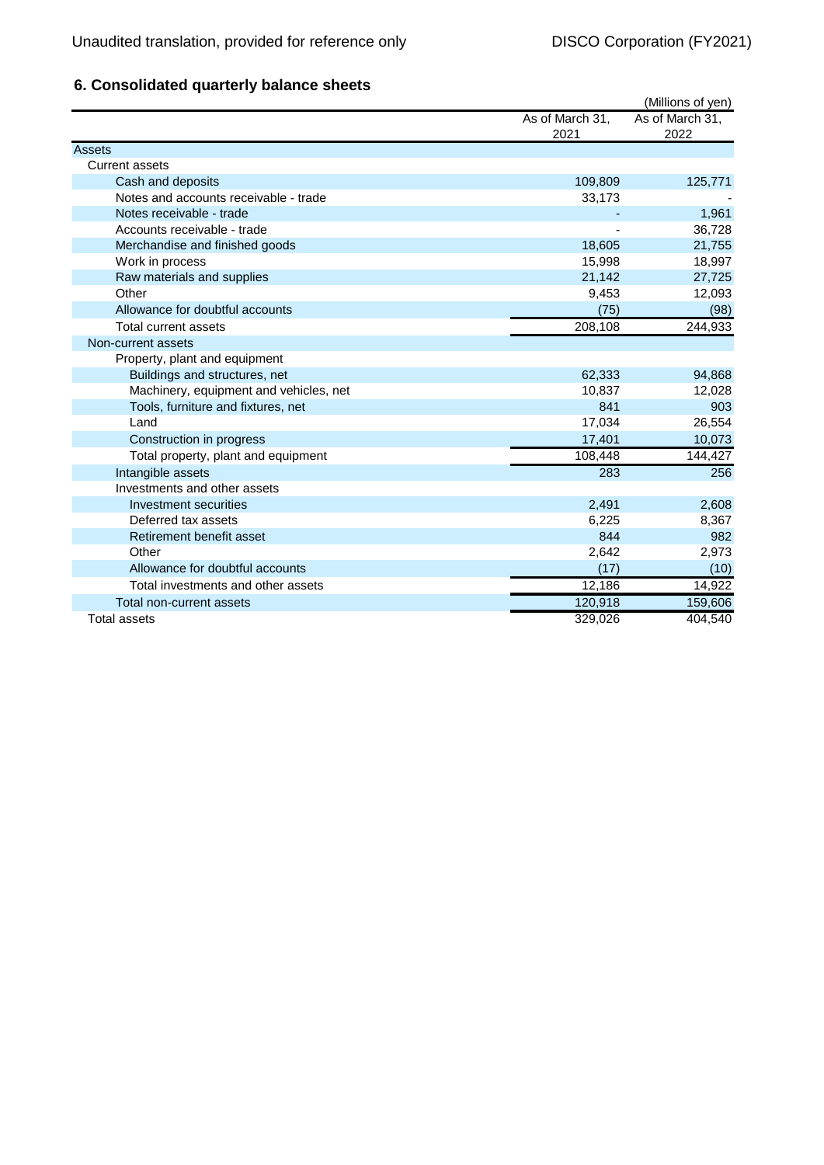## **6. Consolidated quarterly balance sheets**

|                                        |                 | (Millions of yen) |
|----------------------------------------|-----------------|-------------------|
|                                        | As of March 31, | As of March 31,   |
|                                        | 2021            | 2022              |
| <b>Assets</b>                          |                 |                   |
| <b>Current assets</b>                  |                 |                   |
| Cash and deposits                      | 109,809         | 125,771           |
| Notes and accounts receivable - trade  | 33,173          |                   |
| Notes receivable - trade               |                 | 1,961             |
| Accounts receivable - trade            |                 | 36,728            |
| Merchandise and finished goods         | 18,605          | 21,755            |
| Work in process                        | 15,998          | 18,997            |
| Raw materials and supplies             | 21,142          | 27,725            |
| Other                                  | 9,453           | 12,093            |
| Allowance for doubtful accounts        | (75)            | (98)              |
| Total current assets                   | 208,108         | 244,933           |
| Non-current assets                     |                 |                   |
| Property, plant and equipment          |                 |                   |
| Buildings and structures, net          | 62,333          | 94,868            |
| Machinery, equipment and vehicles, net | 10,837          | 12,028            |
| Tools, furniture and fixtures, net     | 841             | 903               |
| Land                                   | 17,034          | 26,554            |
| Construction in progress               | 17,401          | 10,073            |
| Total property, plant and equipment    | 108,448         | 144,427           |
| Intangible assets                      | 283             | 256               |
| Investments and other assets           |                 |                   |
| Investment securities                  | 2,491           | 2,608             |
| Deferred tax assets                    | 6,225           | 8,367             |
| Retirement benefit asset               | 844             | 982               |
| Other                                  | 2,642           | 2,973             |
| Allowance for doubtful accounts        | (17)            | (10)              |
| Total investments and other assets     | 12,186          | 14,922            |
| Total non-current assets               | 120,918         | 159,606           |
| Total assets                           | 329.026         | 404,540           |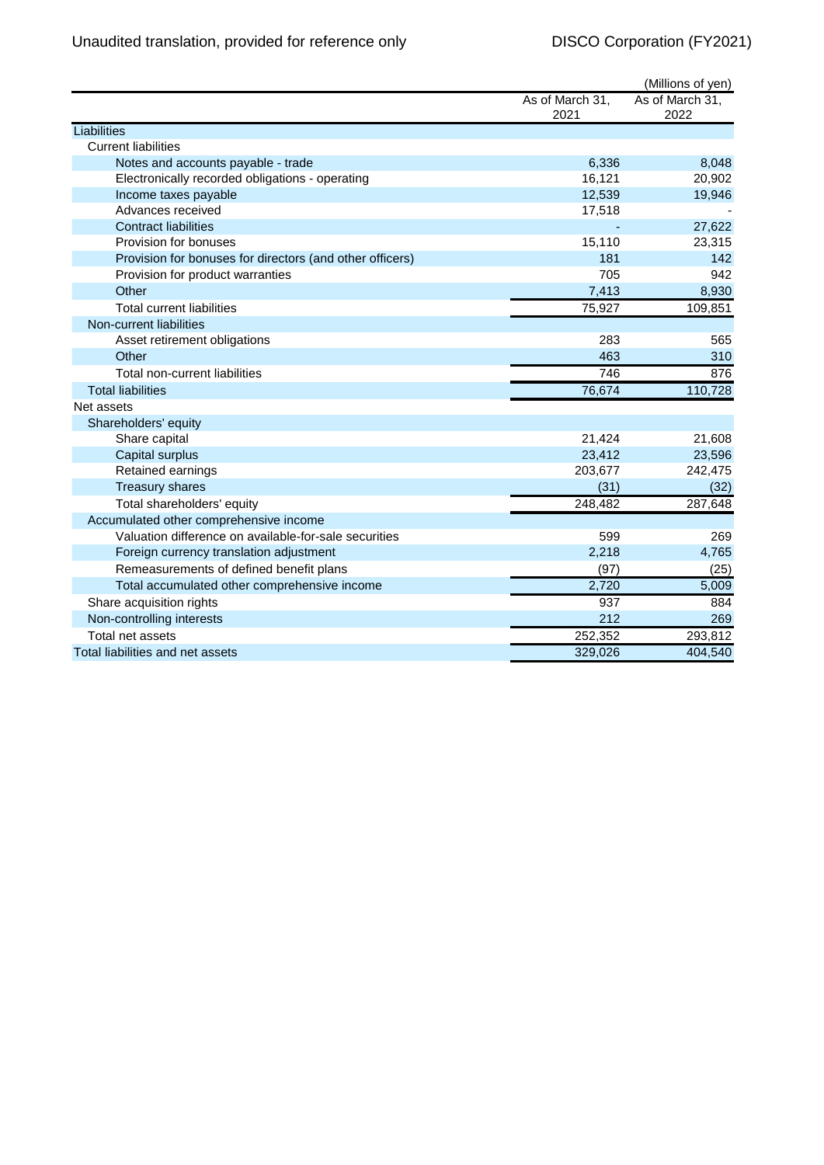|                                                          |                         | (Millions of yen)       |
|----------------------------------------------------------|-------------------------|-------------------------|
|                                                          | As of March 31,<br>2021 | As of March 31,<br>2022 |
| Liabilities                                              |                         |                         |
| <b>Current liabilities</b>                               |                         |                         |
| Notes and accounts payable - trade                       | 6,336                   | 8,048                   |
| Electronically recorded obligations - operating          | 16,121                  | 20,902                  |
| Income taxes payable                                     | 12,539                  | 19,946                  |
| Advances received                                        | 17,518                  |                         |
| <b>Contract liabilities</b>                              |                         | 27,622                  |
| Provision for bonuses                                    | 15,110                  | 23,315                  |
| Provision for bonuses for directors (and other officers) | 181                     | 142                     |
| Provision for product warranties                         | 705                     | 942                     |
| Other                                                    | 7,413                   | 8,930                   |
| <b>Total current liabilities</b>                         | 75,927                  | 109,851                 |
| Non-current liabilities                                  |                         |                         |
| Asset retirement obligations                             | 283                     | 565                     |
| Other                                                    | 463                     | 310                     |
| Total non-current liabilities                            | 746                     | 876                     |
| <b>Total liabilities</b>                                 | 76,674                  | 110,728                 |
| Net assets                                               |                         |                         |
| Shareholders' equity                                     |                         |                         |
| Share capital                                            | 21,424                  | 21,608                  |
| Capital surplus                                          | 23,412                  | 23,596                  |
| Retained earnings                                        | 203,677                 | 242,475                 |
| <b>Treasury shares</b>                                   | (31)                    | (32)                    |
| Total shareholders' equity                               | 248,482                 | 287,648                 |
| Accumulated other comprehensive income                   |                         |                         |
| Valuation difference on available-for-sale securities    | 599                     | 269                     |
| Foreign currency translation adjustment                  | 2,218                   | 4,765                   |
| Remeasurements of defined benefit plans                  | (97)                    | (25)                    |
| Total accumulated other comprehensive income             | 2,720                   | 5,009                   |
| Share acquisition rights                                 | 937                     | 884                     |
| Non-controlling interests                                | 212                     | 269                     |
| Total net assets                                         | 252,352                 | 293,812                 |
| Total liabilities and net assets                         | 329,026                 | 404,540                 |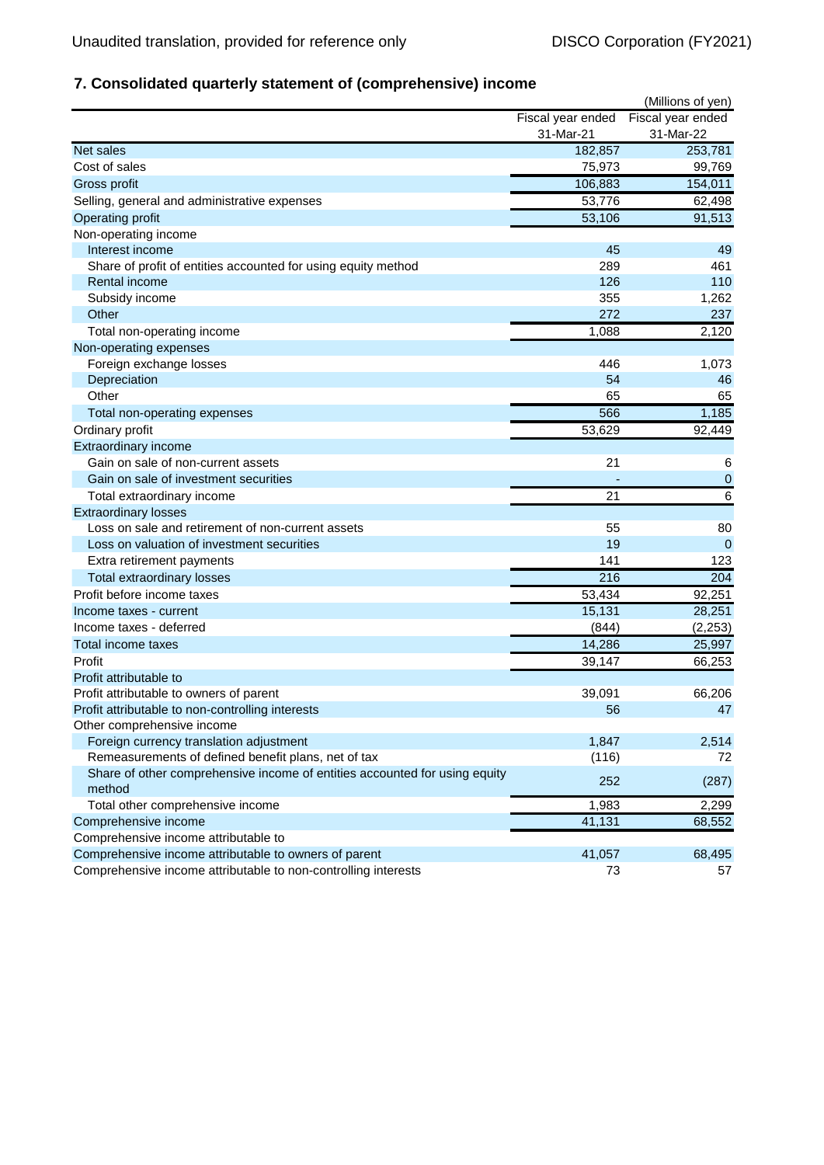## **7. Consolidated quarterly statement of (comprehensive) income**

|                                                                            |                   | (Millions of yen)    |
|----------------------------------------------------------------------------|-------------------|----------------------|
|                                                                            | Fiscal year ended | Fiscal year ended    |
|                                                                            | 31-Mar-21         | 31-Mar-22            |
| Net sales                                                                  | 182,857           | 253,781              |
| Cost of sales                                                              | 75,973            | 99,769               |
| Gross profit                                                               | 106,883           | 154,011              |
| Selling, general and administrative expenses                               | 53,776            | 62,498               |
| <b>Operating profit</b>                                                    | 53,106            | 91,513               |
| Non-operating income                                                       |                   |                      |
| Interest income                                                            | 45                | 49                   |
| Share of profit of entities accounted for using equity method              | 289               | 461                  |
| Rental income                                                              | 126               | 110                  |
| Subsidy income                                                             | 355               | 1,262                |
| Other                                                                      | 272               | 237                  |
| Total non-operating income                                                 | 1,088             | $\overline{2}$ , 120 |
| Non-operating expenses                                                     |                   |                      |
| Foreign exchange losses                                                    | 446               | 1,073                |
| Depreciation                                                               | 54                | 46                   |
| Other                                                                      | 65                | 65                   |
| Total non-operating expenses                                               | 566               | 1,185                |
| Ordinary profit                                                            | 53,629            | 92,449               |
| Extraordinary income                                                       |                   |                      |
| Gain on sale of non-current assets                                         | 21                | 6                    |
| Gain on sale of investment securities                                      |                   | $\mathbf 0$          |
| Total extraordinary income                                                 | 21                | $\overline{6}$       |
| <b>Extraordinary losses</b>                                                |                   |                      |
| Loss on sale and retirement of non-current assets                          | 55                | 80                   |
| Loss on valuation of investment securities                                 | 19                | $\mathbf 0$          |
| Extra retirement payments                                                  | 141               | 123                  |
| Total extraordinary losses                                                 | 216               | 204                  |
| Profit before income taxes                                                 | 53,434            | 92,251               |
| Income taxes - current                                                     | 15,131            | 28,251               |
| Income taxes - deferred                                                    | (844)             | (2, 253)             |
| Total income taxes                                                         |                   |                      |
| Profit                                                                     | 14,286            | 25,997               |
| Profit attributable to                                                     | 39,147            | 66,253               |
|                                                                            |                   |                      |
| Profit attributable to owners of parent                                    | 39,091<br>56      | 66,206<br>47         |
| Profit attributable to non-controlling interests                           |                   |                      |
| Other comprehensive income<br>Foreign currency translation adjustment      | 1,847             | 2,514                |
| Remeasurements of defined benefit plans, net of tax                        | (116)             | 72                   |
| Share of other comprehensive income of entities accounted for using equity |                   |                      |
| method                                                                     | 252               | (287)                |
| Total other comprehensive income                                           | 1,983             | 2,299                |
| Comprehensive income                                                       | 41,131            | 68,552               |
| Comprehensive income attributable to                                       |                   |                      |
| Comprehensive income attributable to owners of parent                      | 41,057            | 68,495               |
| Comprehensive income attributable to non-controlling interests             | 73                | 57                   |
|                                                                            |                   |                      |